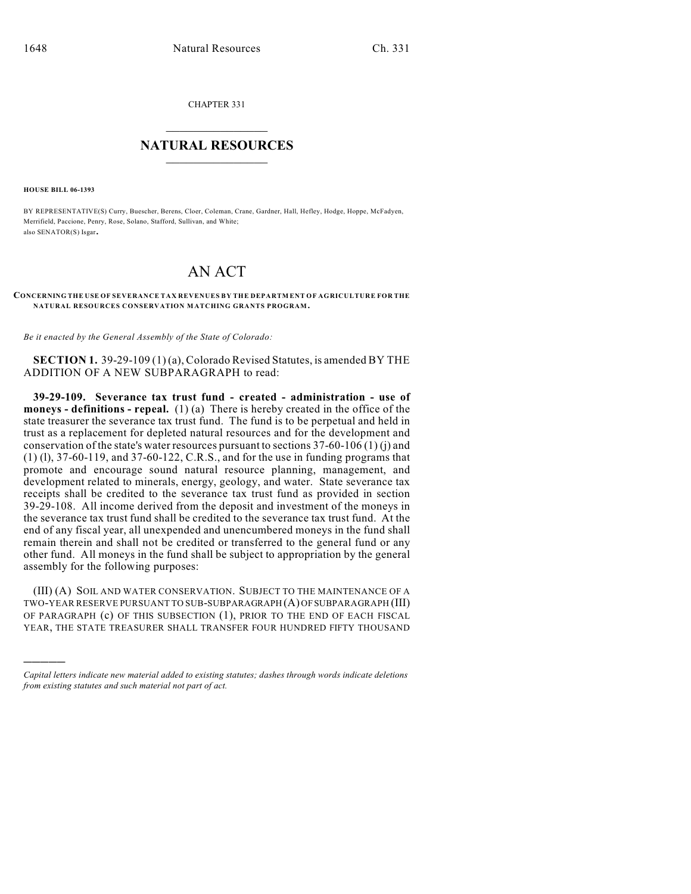CHAPTER 331

## $\overline{\phantom{a}}$  . The set of the set of the set of the set of the set of the set of the set of the set of the set of the set of the set of the set of the set of the set of the set of the set of the set of the set of the set o **NATURAL RESOURCES**  $\frac{1}{\sqrt{2}}$  , where  $\frac{1}{\sqrt{2}}$  ,  $\frac{1}{\sqrt{2}}$  ,  $\frac{1}{\sqrt{2}}$

**HOUSE BILL 06-1393**

)))))

BY REPRESENTATIVE(S) Curry, Buescher, Berens, Cloer, Coleman, Crane, Gardner, Hall, Hefley, Hodge, Hoppe, McFadyen, Merrifield, Paccione, Penry, Rose, Solano, Stafford, Sullivan, and White; also SENATOR(S) Isgar.

## AN ACT

## **CONCERNING THE USE OF SEVERANCE TAX REVENUES BY THE DEPARTMENT OF AGRICULTURE FOR THE NATURAL RESOURCES CONSERVATION MATCHING GRANTS PROGRAM.**

*Be it enacted by the General Assembly of the State of Colorado:*

**SECTION 1.** 39-29-109 (1) (a), Colorado Revised Statutes, is amended BY THE ADDITION OF A NEW SUBPARAGRAPH to read:

**39-29-109. Severance tax trust fund - created - administration - use of moneys - definitions - repeal.** (1) (a) There is hereby created in the office of the state treasurer the severance tax trust fund. The fund is to be perpetual and held in trust as a replacement for depleted natural resources and for the development and conservation of the state's water resources pursuant to sections 37-60-106 (1) (j) and (1) (l), 37-60-119, and 37-60-122, C.R.S., and for the use in funding programs that promote and encourage sound natural resource planning, management, and development related to minerals, energy, geology, and water. State severance tax receipts shall be credited to the severance tax trust fund as provided in section 39-29-108. All income derived from the deposit and investment of the moneys in the severance tax trust fund shall be credited to the severance tax trust fund. At the end of any fiscal year, all unexpended and unencumbered moneys in the fund shall remain therein and shall not be credited or transferred to the general fund or any other fund. All moneys in the fund shall be subject to appropriation by the general assembly for the following purposes:

(III) (A) SOIL AND WATER CONSERVATION. SUBJECT TO THE MAINTENANCE OF A TWO-YEAR RESERVE PURSUANT TO SUB-SUBPARAGRAPH (A) OF SUBPARAGRAPH (III) OF PARAGRAPH (c) OF THIS SUBSECTION (1), PRIOR TO THE END OF EACH FISCAL YEAR, THE STATE TREASURER SHALL TRANSFER FOUR HUNDRED FIFTY THOUSAND

*Capital letters indicate new material added to existing statutes; dashes through words indicate deletions from existing statutes and such material not part of act.*